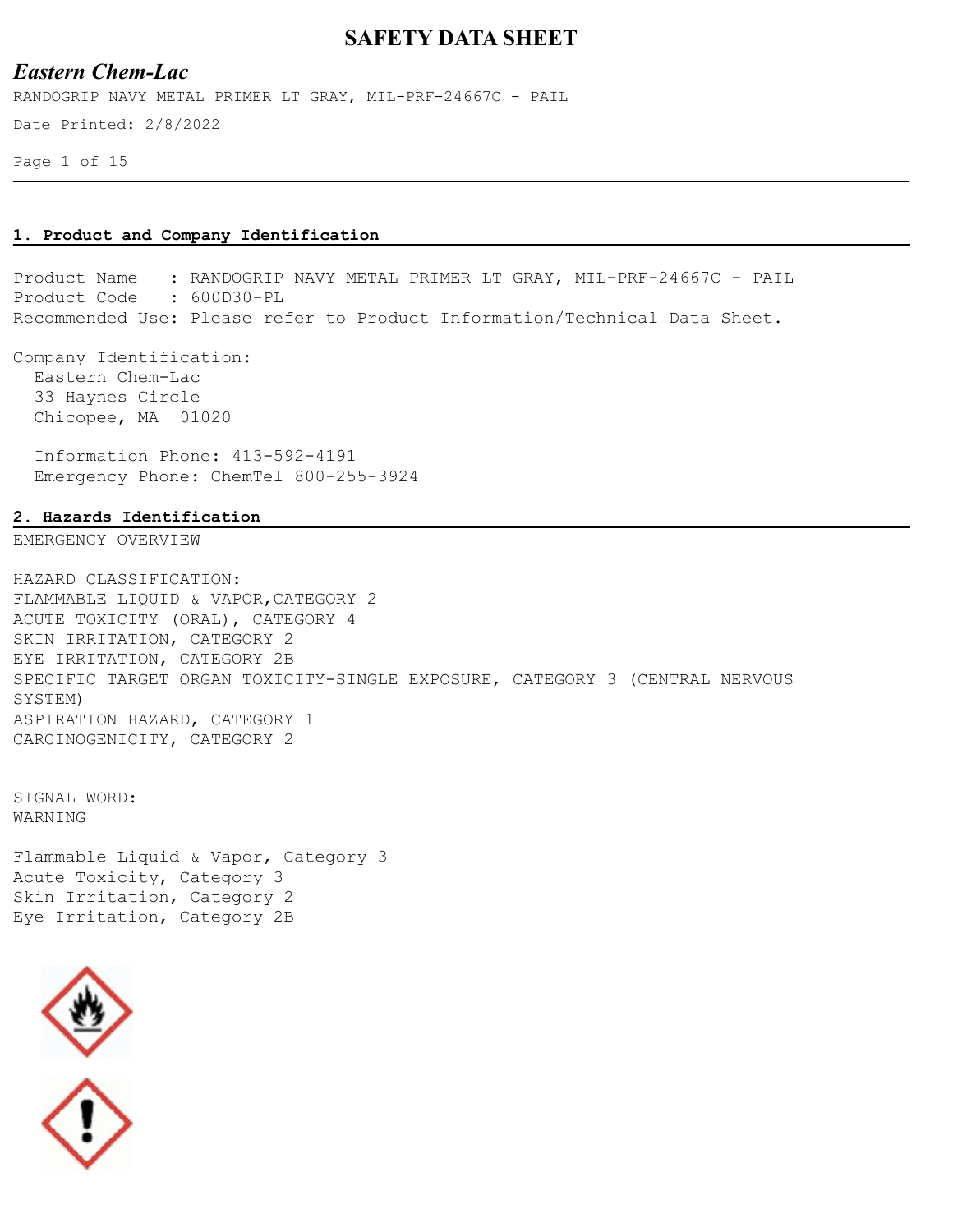### *Eastern Chem-Lac*

RANDOGRIP NAVY METAL PRIMER LT GRAY, MIL-PRF-24667C - PAIL

Date Printed: 2/8/2022

Page 1 of 15

#### **1. Product and Company Identification**

Product Name : RANDOGRIP NAVY METAL PRIMER LT GRAY, MIL-PRF-24667C - PAIL Product Code : 600D30-PL Recommended Use: Please refer to Product Information/Technical Data Sheet.

Company Identification: Eastern Chem-Lac 33 Haynes Circle Chicopee, MA 01020

 Information Phone: 413-592-4191 Emergency Phone: ChemTel 800-255-3924

#### **2. Hazards Identification**

EMERGENCY OVERVIEW

HAZARD CLASSIFICATION: FLAMMABLE LIQUID & VAPOR,CATEGORY 2 ACUTE TOXICITY (ORAL), CATEGORY 4 SKIN IRRITATION, CATEGORY 2 EYE IRRITATION, CATEGORY 2B SPECIFIC TARGET ORGAN TOXICITY-SINGLE EXPOSURE, CATEGORY 3 (CENTRAL NERVOUS SYSTEM) ASPIRATION HAZARD, CATEGORY 1 CARCINOGENICITY, CATEGORY 2

SIGNAL WORD: WARNING

Flammable Liquid & Vapor, Category 3 Acute Toxicity, Category 3 Skin Irritation, Category 2 Eye Irritation, Category 2B



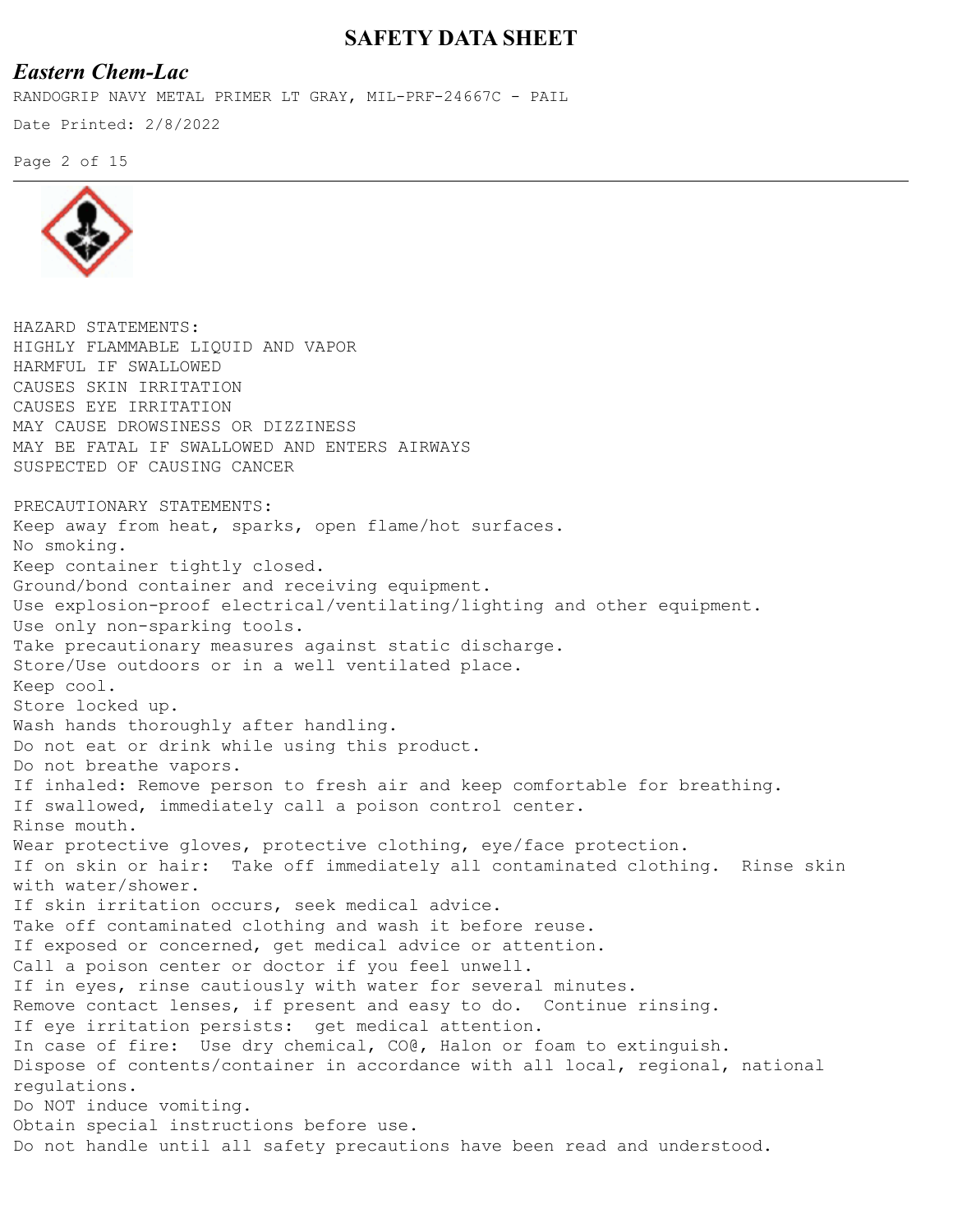## *Eastern Chem-Lac*

RANDOGRIP NAVY METAL PRIMER LT GRAY, MIL-PRF-24667C - PAIL

Date Printed: 2/8/2022

Page 2 of 15



HAZARD STATEMENTS: HIGHLY FLAMMABLE LIQUID AND VAPOR HARMFUL IF SWALLOWED CAUSES SKIN IRRITATION CAUSES EYE IRRITATION MAY CAUSE DROWSINESS OR DIZZINESS MAY BE FATAL IF SWALLOWED AND ENTERS AIRWAYS SUSPECTED OF CAUSING CANCER PRECAUTIONARY STATEMENTS: Keep away from heat, sparks, open flame/hot surfaces. No smoking. Keep container tightly closed. Ground/bond container and receiving equipment. Use explosion-proof electrical/ventilating/lighting and other equipment. Use only non-sparking tools. Take precautionary measures against static discharge. Store/Use outdoors or in a well ventilated place. Keep cool. Store locked up. Wash hands thoroughly after handling. Do not eat or drink while using this product. Do not breathe vapors. If inhaled: Remove person to fresh air and keep comfortable for breathing. If swallowed, immediately call a poison control center. Rinse mouth. Wear protective gloves, protective clothing, eye/face protection. If on skin or hair: Take off immediately all contaminated clothing. Rinse skin with water/shower. If skin irritation occurs, seek medical advice. Take off contaminated clothing and wash it before reuse. If exposed or concerned, get medical advice or attention. Call a poison center or doctor if you feel unwell. If in eyes, rinse cautiously with water for several minutes. Remove contact lenses, if present and easy to do. Continue rinsing. If eye irritation persists: get medical attention. In case of fire: Use dry chemical, CO@, Halon or foam to extinguish. Dispose of contents/container in accordance with all local, regional, national regulations. Do NOT induce vomiting. Obtain special instructions before use. Do not handle until all safety precautions have been read and understood.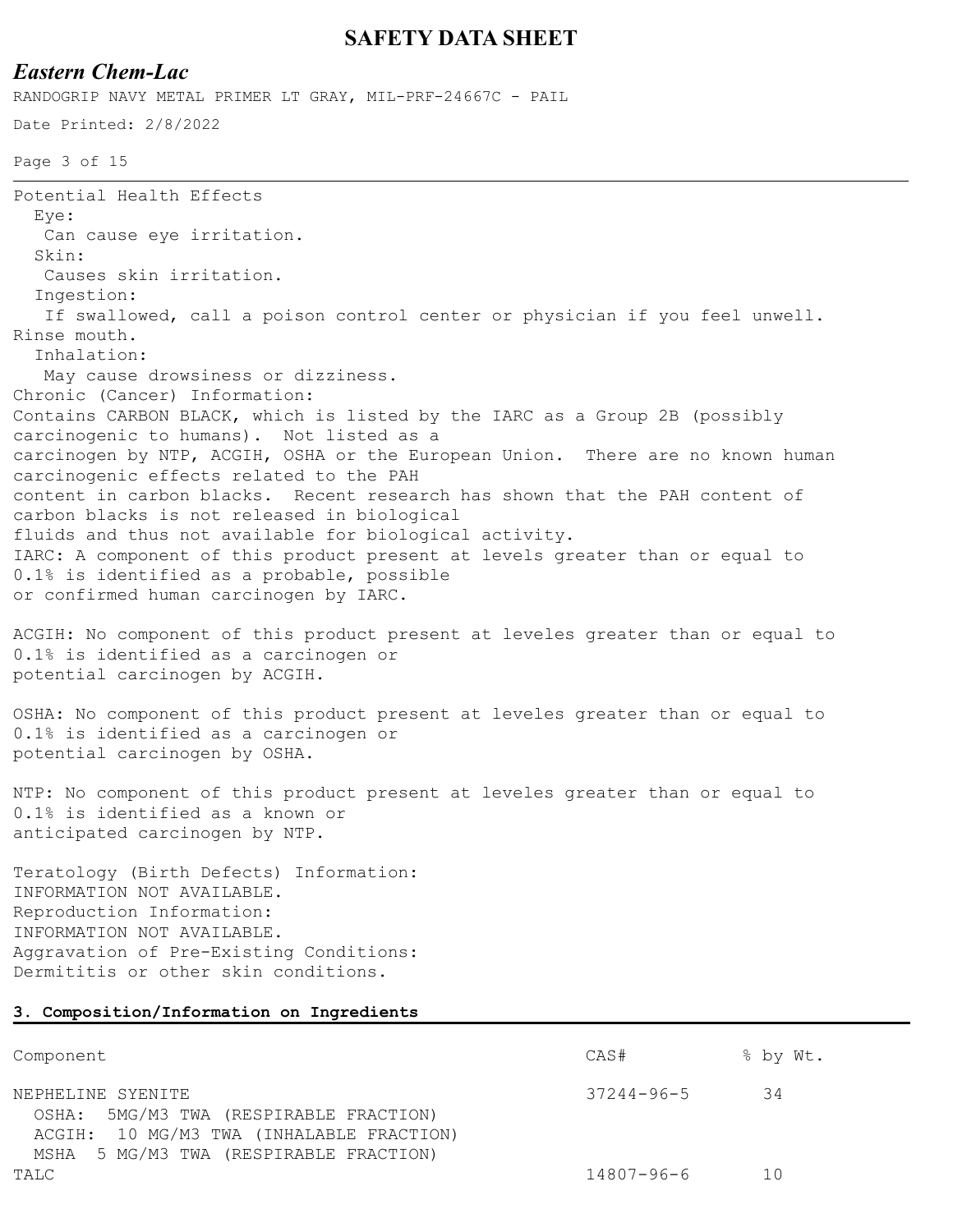## *Eastern Chem-Lac*

RANDOGRIP NAVY METAL PRIMER LT GRAY, MIL-PRF-24667C - PAIL

```
Date Printed: 2/8/2022
```
Page 3 of 15

```
Potential Health Effects
   Eye:
   Can cause eye irritation.
   Skin:
   Causes skin irritation.
   Ingestion:
   If swallowed, call a poison control center or physician if you feel unwell. 
Rinse mouth.
   Inhalation:
   May cause drowsiness or dizziness.
Chronic (Cancer) Information:
Contains CARBON BLACK, which is listed by the IARC as a Group 2B (possibly 
carcinogenic to humans). Not listed as a
carcinogen by NTP, ACGIH, OSHA or the European Union. There are no known human 
carcinogenic effects related to the PAH
content in carbon blacks. Recent research has shown that the PAH content of 
carbon blacks is not released in biological
fluids and thus not available for biological activity.
IARC: A component of this product present at levels greater than or equal to 
0.1% is identified as a probable, possible
or confirmed human carcinogen by IARC.
ACGIH: No component of this product present at leveles greater than or equal to 
0.1% is identified as a carcinogen or
```
potential carcinogen by ACGIH.

OSHA: No component of this product present at leveles greater than or equal to 0.1% is identified as a carcinogen or potential carcinogen by OSHA.

NTP: No component of this product present at leveles greater than or equal to 0.1% is identified as a known or anticipated carcinogen by NTP.

Teratology (Birth Defects) Information: INFORMATION NOT AVAILABLE. Reproduction Information: INFORMATION NOT AVAILABLE. Aggravation of Pre-Existing Conditions: Dermititis or other skin conditions.

#### **3. Composition/Information on Ingredients**

| Component                                                                                                                                         | CAS#             | % by Wt. |
|---------------------------------------------------------------------------------------------------------------------------------------------------|------------------|----------|
| NEPHELINE SYENITE<br>OSHA: 5MG/M3 TWA (RESPIRABLE FRACTION)<br>ACGIH: 10 MG/M3 TWA (INHALABLE FRACTION)<br>MSHA 5 MG/M3 TWA (RESPIRABLE FRACTION) | $37244 - 96 - 5$ | -34      |
| TALC                                                                                                                                              | 14807-96-6       | 1 N      |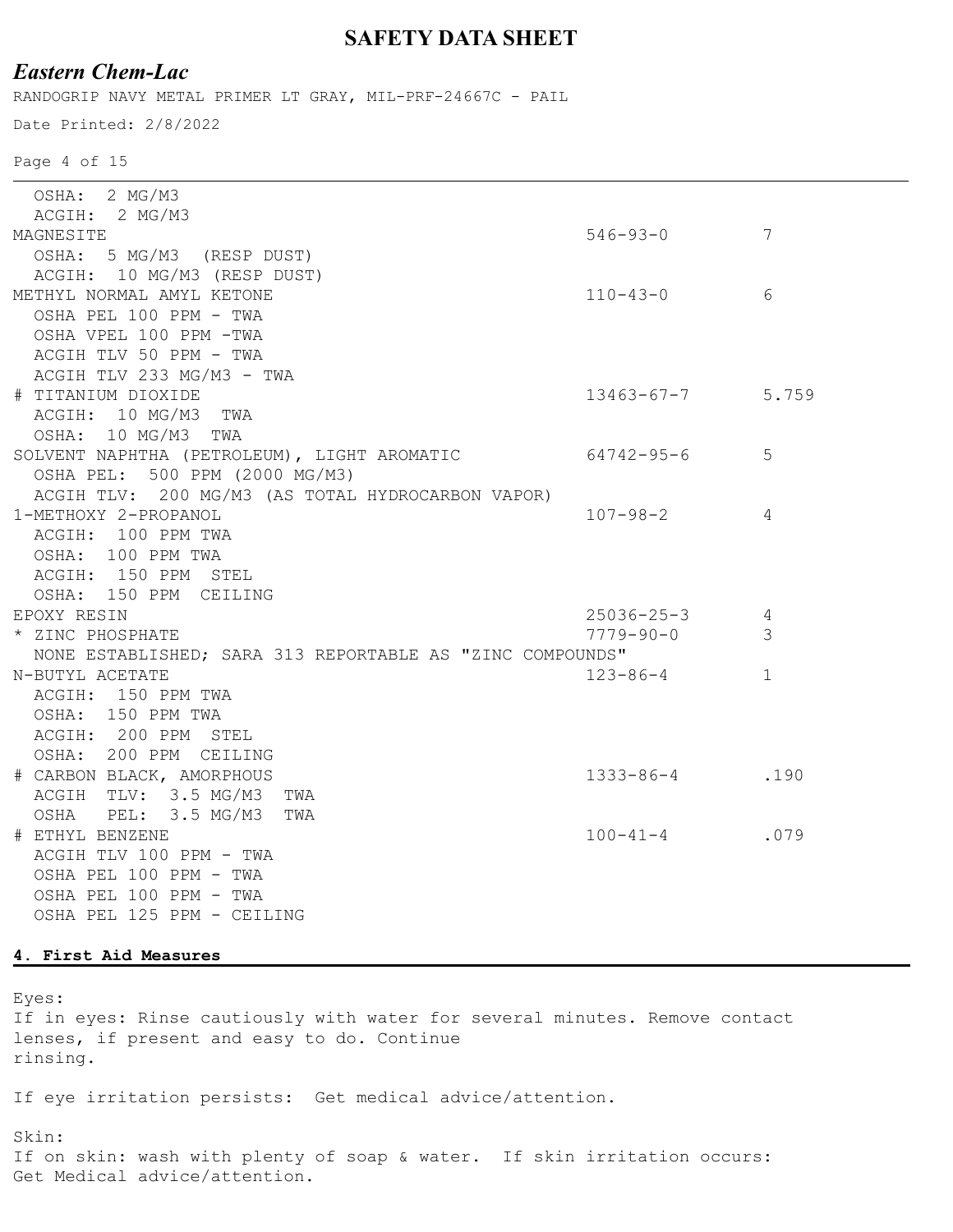# *Eastern Chem-Lac*

RANDOGRIP NAVY METAL PRIMER LT GRAY, MIL-PRF-24667C - PAIL

Date Printed: 2/8/2022

Page 4 of 15

| OSHA: 2 MG/M3                                             |                  |              |
|-----------------------------------------------------------|------------------|--------------|
| ACGIH: 2 MG/M3                                            |                  |              |
| MAGNESITE                                                 | $546 - 93 - 0$   | 7            |
| OSHA: 5 MG/M3 (RESP DUST)                                 |                  |              |
| ACGIH: 10 MG/M3 (RESP DUST)                               |                  |              |
| METHYL NORMAL AMYL KETONE                                 | $110 - 43 - 0$   | 6            |
| OSHA PEL 100 PPM - TWA                                    |                  |              |
| OSHA VPEL 100 PPM -TWA                                    |                  |              |
| ACGIH TLV 50 PPM - TWA                                    |                  |              |
| ACGIH TLV 233 MG/M3 - TWA                                 |                  |              |
| # TITANIUM DIOXIDE                                        | $13463 - 67 - 7$ | 5.759        |
| ACGIH: 10 MG/M3 TWA                                       |                  |              |
| OSHA: 10 MG/M3 TWA                                        |                  |              |
| SOLVENT NAPHTHA (PETROLEUM), LIGHT AROMATIC               | 64742-95-6       | 5            |
| OSHA PEL: 500 PPM (2000 MG/M3)                            |                  |              |
| ACGIH TLV: 200 MG/M3 (AS TOTAL HYDROCARBON VAPOR)         |                  |              |
| 1-METHOXY 2-PROPANOL                                      | $107 - 98 - 2$   | 4            |
| ACGIH: 100 PPM TWA                                        |                  |              |
| OSHA: 100 PPM TWA                                         |                  |              |
| ACGIH: 150 PPM STEL                                       |                  |              |
| OSHA: 150 PPM CEILING                                     |                  |              |
| EPOXY RESIN                                               | $25036 - 25 - 3$ | 4            |
|                                                           |                  |              |
| * ZINC PHOSPHATE                                          | 7779-90-0        | 3            |
| NONE ESTABLISHED; SARA 313 REPORTABLE AS "ZINC COMPOUNDS" |                  |              |
| N-BUTYL ACETATE                                           | $123 - 86 - 4$   | $\mathbf{1}$ |
| ACGIH: 150 PPM TWA                                        |                  |              |
| OSHA: 150 PPM TWA                                         |                  |              |
| ACGIH: 200 PPM STEL                                       |                  |              |
| OSHA: 200 PPM CEILING                                     |                  |              |
| # CARBON BLACK, AMORPHOUS                                 | $1333 - 86 - 4$  | .190         |
| ACGIH TLV: 3.5 MG/M3 TWA                                  |                  |              |
| OSHA PEL: 3.5 MG/M3<br>TWA                                |                  |              |
| # ETHYL BENZENE                                           | $100 - 41 - 4$   | .079         |
| ACGIH TLV 100 PPM - TWA                                   |                  |              |
| OSHA PEL 100 PPM - TWA                                    |                  |              |
| OSHA PEL 100 PPM - TWA                                    |                  |              |
| OSHA PEL 125 PPM - CEILING                                |                  |              |
|                                                           |                  |              |

#### **4. First Aid Measures**

Eyes:

If in eyes: Rinse cautiously with water for several minutes. Remove contact lenses, if present and easy to do. Continue rinsing.

If eye irritation persists: Get medical advice/attention.

Skin:

If on skin: wash with plenty of soap & water. If skin irritation occurs: Get Medical advice/attention.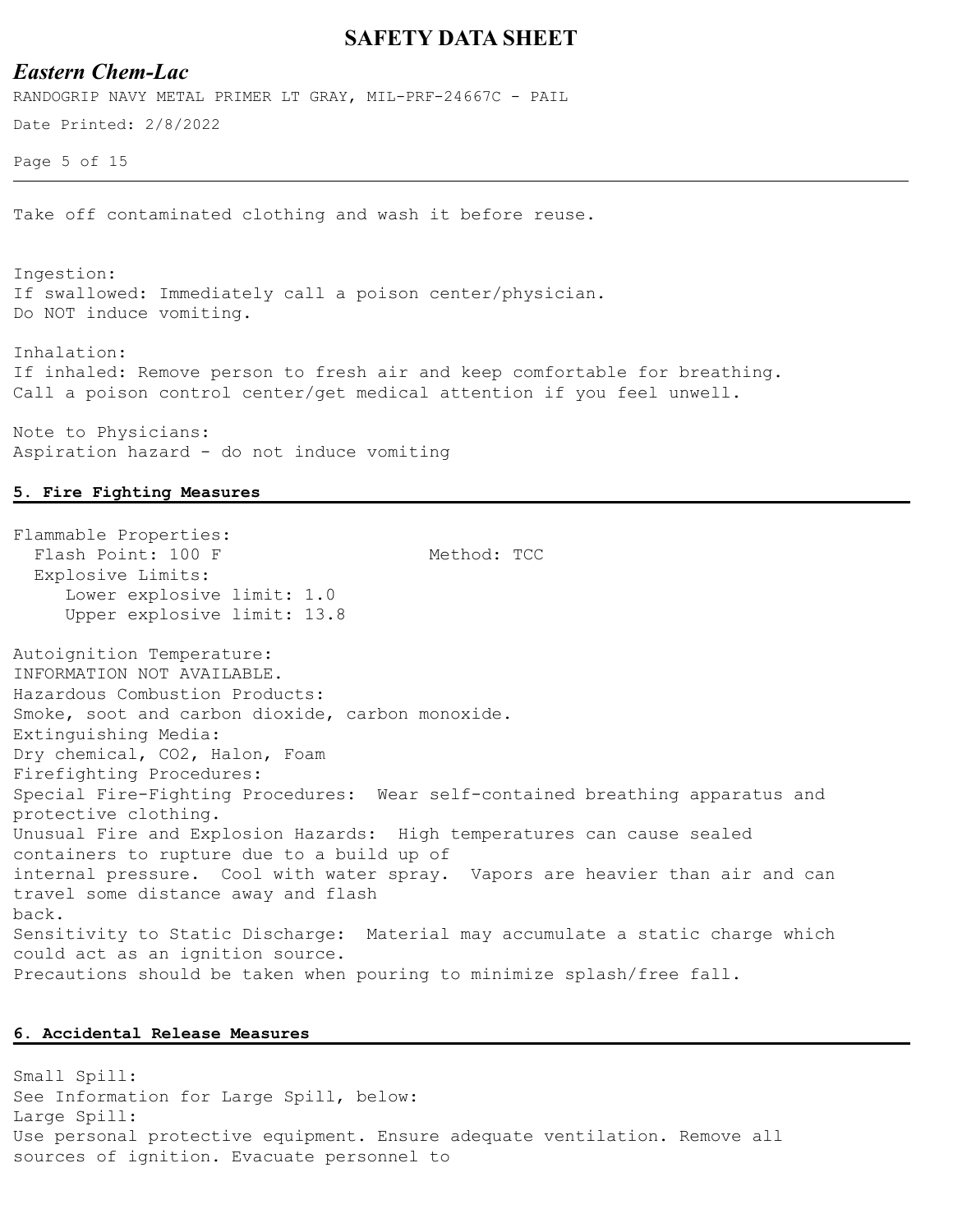#### *Eastern Chem-Lac*

RANDOGRIP NAVY METAL PRIMER LT GRAY, MIL-PRF-24667C - PAIL

Date Printed: 2/8/2022

Page 5 of 15

Take off contaminated clothing and wash it before reuse.

Ingestion: If swallowed: Immediately call a poison center/physician. Do NOT induce vomiting.

Inhalation: If inhaled: Remove person to fresh air and keep comfortable for breathing. Call a poison control center/get medical attention if you feel unwell.

Note to Physicians: Aspiration hazard - do not induce vomiting

#### **5. Fire Fighting Measures**

Flammable Properties: Flash Point: 100 F Method: TCC Explosive Limits: Lower explosive limit: 1.0 Upper explosive limit: 13.8 Autoignition Temperature: INFORMATION NOT AVAILABLE. Hazardous Combustion Products: Smoke, soot and carbon dioxide, carbon monoxide. Extinguishing Media: Dry chemical, CO2, Halon, Foam Firefighting Procedures: Special Fire-Fighting Procedures: Wear self-contained breathing apparatus and protective clothing. Unusual Fire and Explosion Hazards: High temperatures can cause sealed containers to rupture due to a build up of internal pressure. Cool with water spray. Vapors are heavier than air and can travel some distance away and flash back. Sensitivity to Static Discharge: Material may accumulate a static charge which could act as an ignition source. Precautions should be taken when pouring to minimize splash/free fall.

#### **6. Accidental Release Measures**

Small Spill: See Information for Large Spill, below: Large Spill: Use personal protective equipment. Ensure adequate ventilation. Remove all sources of ignition. Evacuate personnel to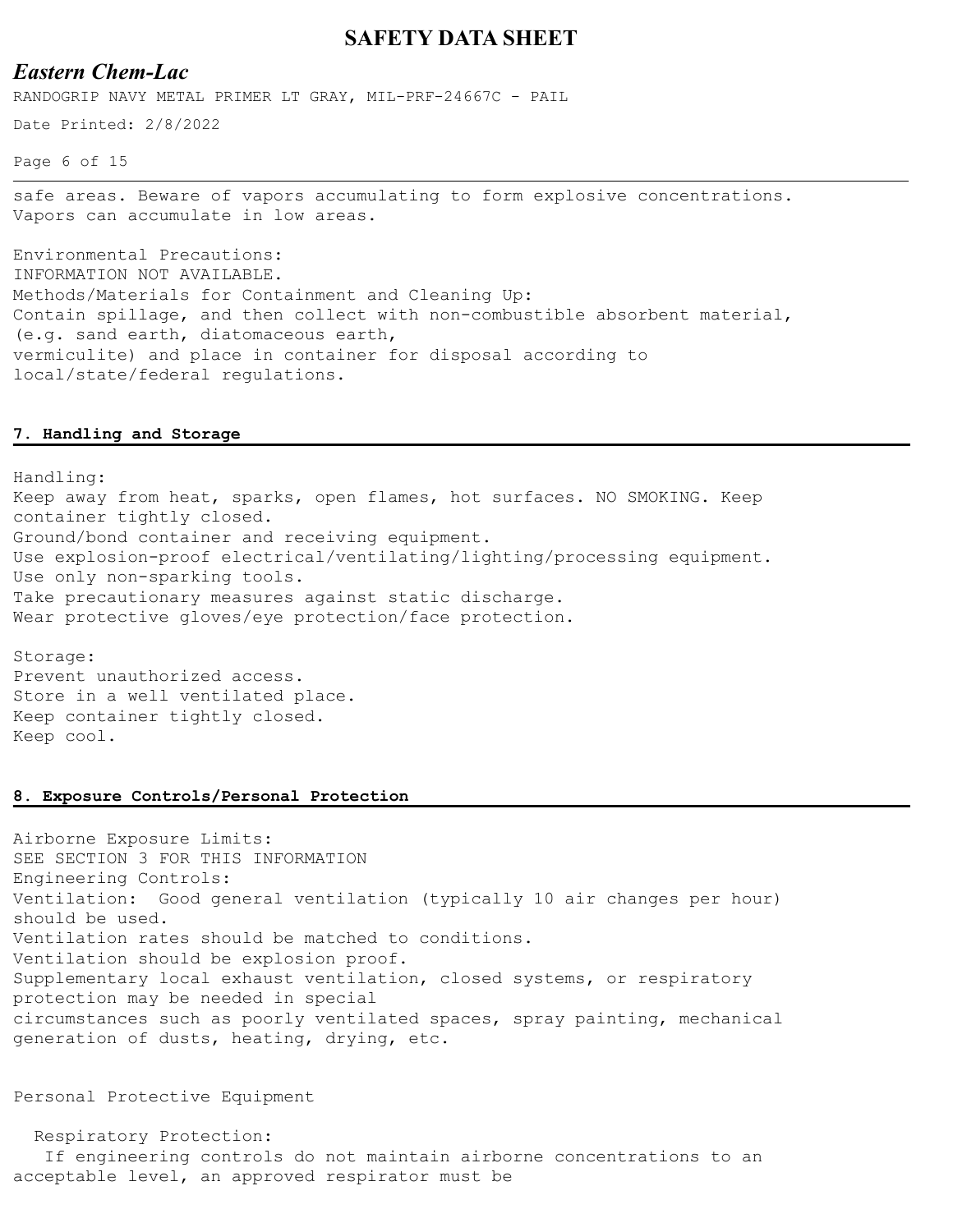### *Eastern Chem-Lac*

RANDOGRIP NAVY METAL PRIMER LT GRAY, MIL-PRF-24667C - PAIL

Date Printed: 2/8/2022

Page 6 of 15

safe areas. Beware of vapors accumulating to form explosive concentrations. Vapors can accumulate in low areas.

Environmental Precautions: INFORMATION NOT AVAILABLE. Methods/Materials for Containment and Cleaning Up: Contain spillage, and then collect with non-combustible absorbent material, (e.g. sand earth, diatomaceous earth, vermiculite) and place in container for disposal according to local/state/federal regulations.

#### **7. Handling and Storage**

Handling: Keep away from heat, sparks, open flames, hot surfaces. NO SMOKING. Keep container tightly closed. Ground/bond container and receiving equipment. Use explosion-proof electrical/ventilating/lighting/processing equipment. Use only non-sparking tools. Take precautionary measures against static discharge. Wear protective gloves/eye protection/face protection.

Storage: Prevent unauthorized access. Store in a well ventilated place. Keep container tightly closed. Keep cool.

#### **8. Exposure Controls/Personal Protection**

Airborne Exposure Limits: SEE SECTION 3 FOR THIS INFORMATION Engineering Controls: Ventilation: Good general ventilation (typically 10 air changes per hour) should be used. Ventilation rates should be matched to conditions. Ventilation should be explosion proof. Supplementary local exhaust ventilation, closed systems, or respiratory protection may be needed in special circumstances such as poorly ventilated spaces, spray painting, mechanical generation of dusts, heating, drying, etc.

Personal Protective Equipment

 Respiratory Protection: If engineering controls do not maintain airborne concentrations to an acceptable level, an approved respirator must be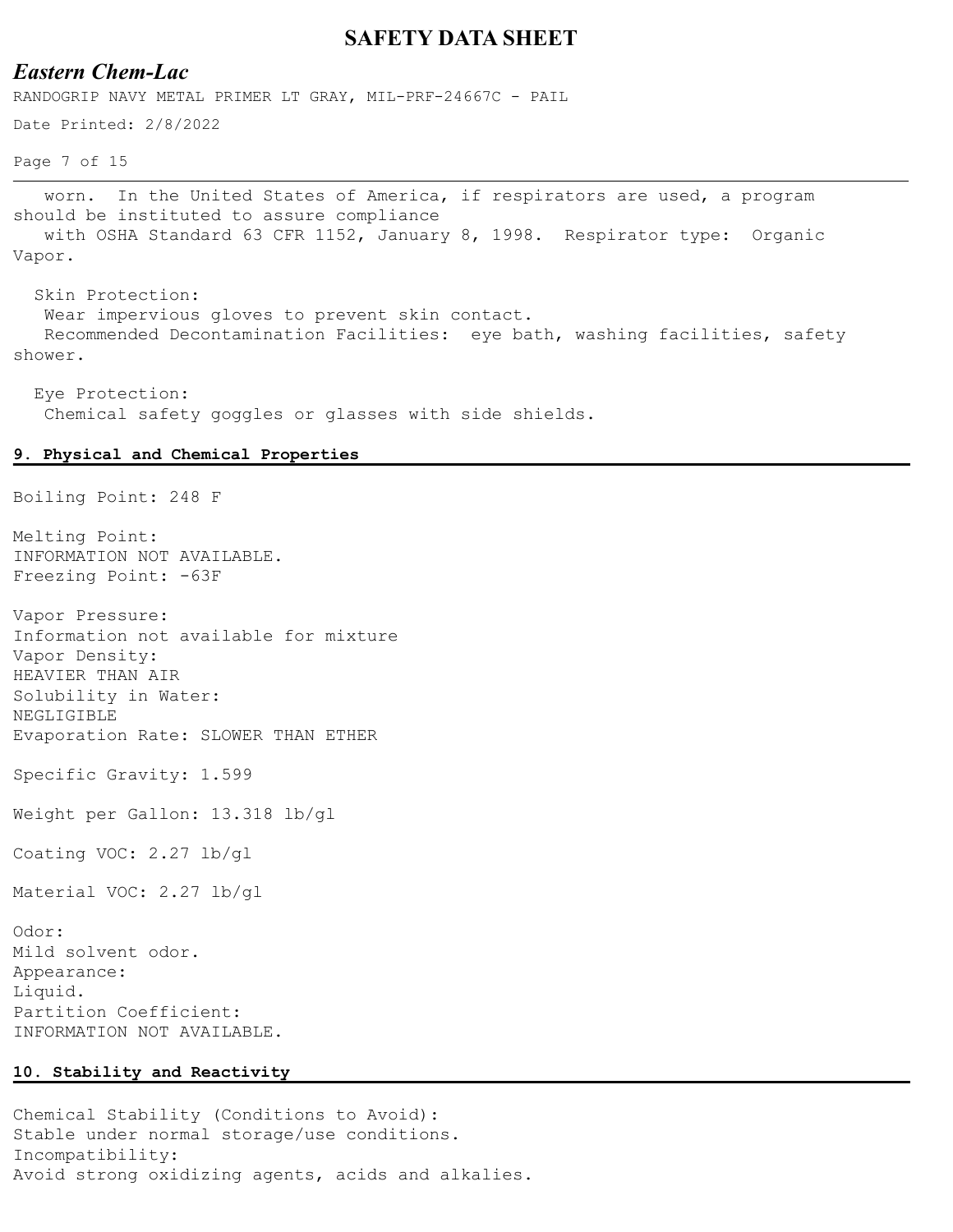### *Eastern Chem-Lac*

RANDOGRIP NAVY METAL PRIMER LT GRAY, MIL-PRF-24667C - PAIL

Date Printed: 2/8/2022

Page 7 of 15

 worn. In the United States of America, if respirators are used, a program should be instituted to assure compliance with OSHA Standard 63 CFR 1152, January 8, 1998. Respirator type: Organic Vapor.

 Skin Protection: Wear impervious gloves to prevent skin contact. Recommended Decontamination Facilities: eye bath, washing facilities, safety shower.

 Eye Protection: Chemical safety goggles or glasses with side shields.

#### **9. Physical and Chemical Properties**

Boiling Point: 248 F

Melting Point: INFORMATION NOT AVAILABLE. Freezing Point: -63F

Vapor Pressure: Information not available for mixture Vapor Density: HEAVIER THAN AIR Solubility in Water: NEGLIGIBLE Evaporation Rate: SLOWER THAN ETHER

Specific Gravity: 1.599

Weight per Gallon: 13.318 lb/gl

Coating VOC: 2.27 lb/gl

Material VOC: 2.27 lb/gl

Odor: Mild solvent odor. Appearance: Liquid. Partition Coefficient: INFORMATION NOT AVAILABLE.

#### **10. Stability and Reactivity**

Chemical Stability (Conditions to Avoid): Stable under normal storage/use conditions. Incompatibility: Avoid strong oxidizing agents, acids and alkalies.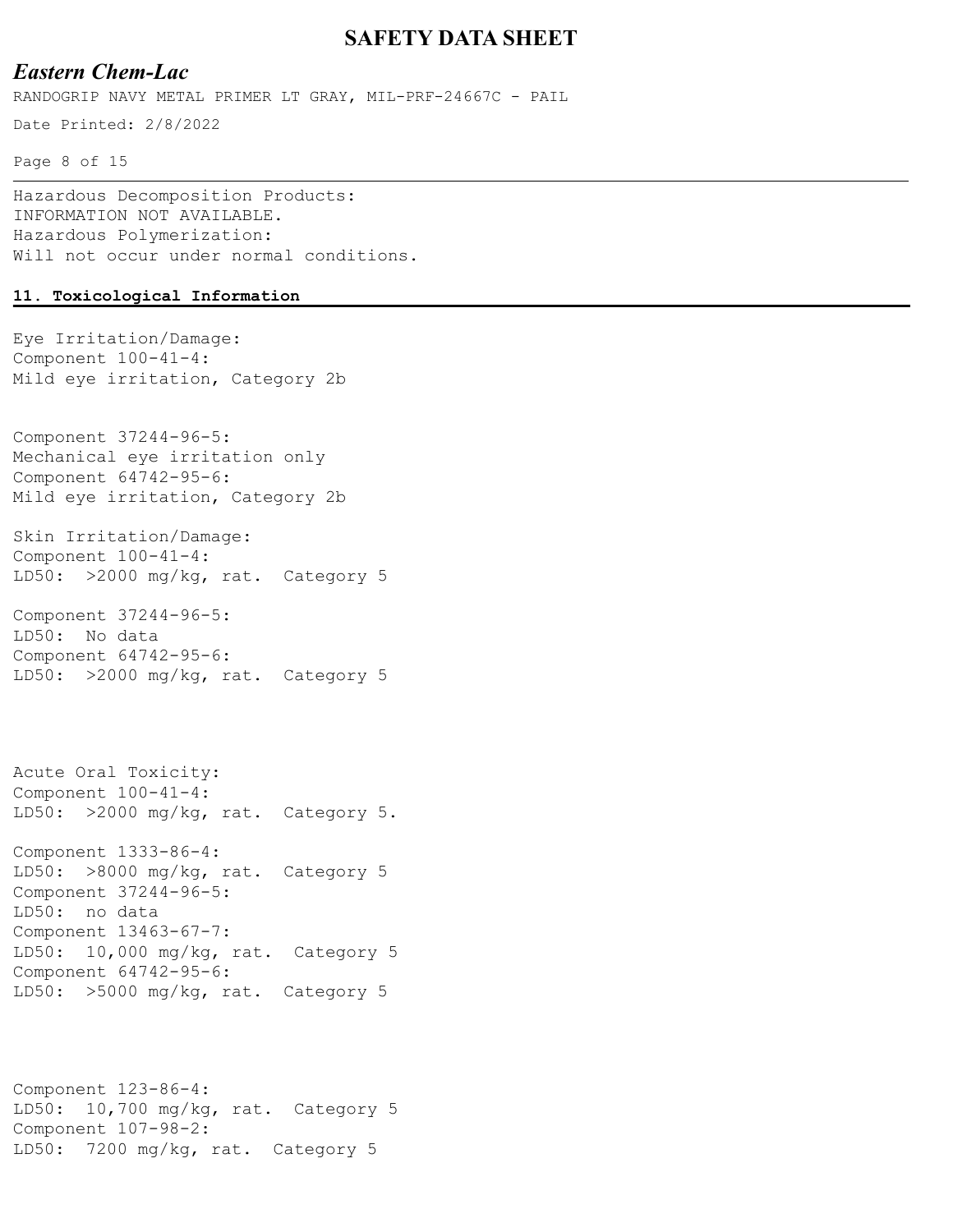### *Eastern Chem-Lac*

RANDOGRIP NAVY METAL PRIMER LT GRAY, MIL-PRF-24667C - PAIL

Date Printed: 2/8/2022

Page 8 of 15

Hazardous Decomposition Products: INFORMATION NOT AVAILABLE. Hazardous Polymerization: Will not occur under normal conditions.

#### **11. Toxicological Information**

Eye Irritation/Damage: Component 100-41-4: Mild eye irritation, Category 2b

Component 37244-96-5: Mechanical eye irritation only Component 64742-95-6: Mild eye irritation, Category 2b

Skin Irritation/Damage: Component 100-41-4: LD50: >2000 mg/kg, rat. Category 5

Component 37244-96-5: LD50: No data Component 64742-95-6: LD50: >2000 mg/kg, rat. Category 5

Acute Oral Toxicity: Component 100-41-4: LD50: >2000 mg/kg, rat. Category 5.

Component 1333-86-4: LD50: >8000 mg/kg, rat. Category 5 Component 37244-96-5: LD50: no data Component 13463-67-7: LD50: 10,000 mg/kg, rat. Category 5 Component 64742-95-6: LD50: >5000 mg/kg, rat. Category 5

Component 123-86-4: LD50: 10,700 mg/kg, rat. Category 5 Component 107-98-2: LD50: 7200 mg/kg, rat. Category 5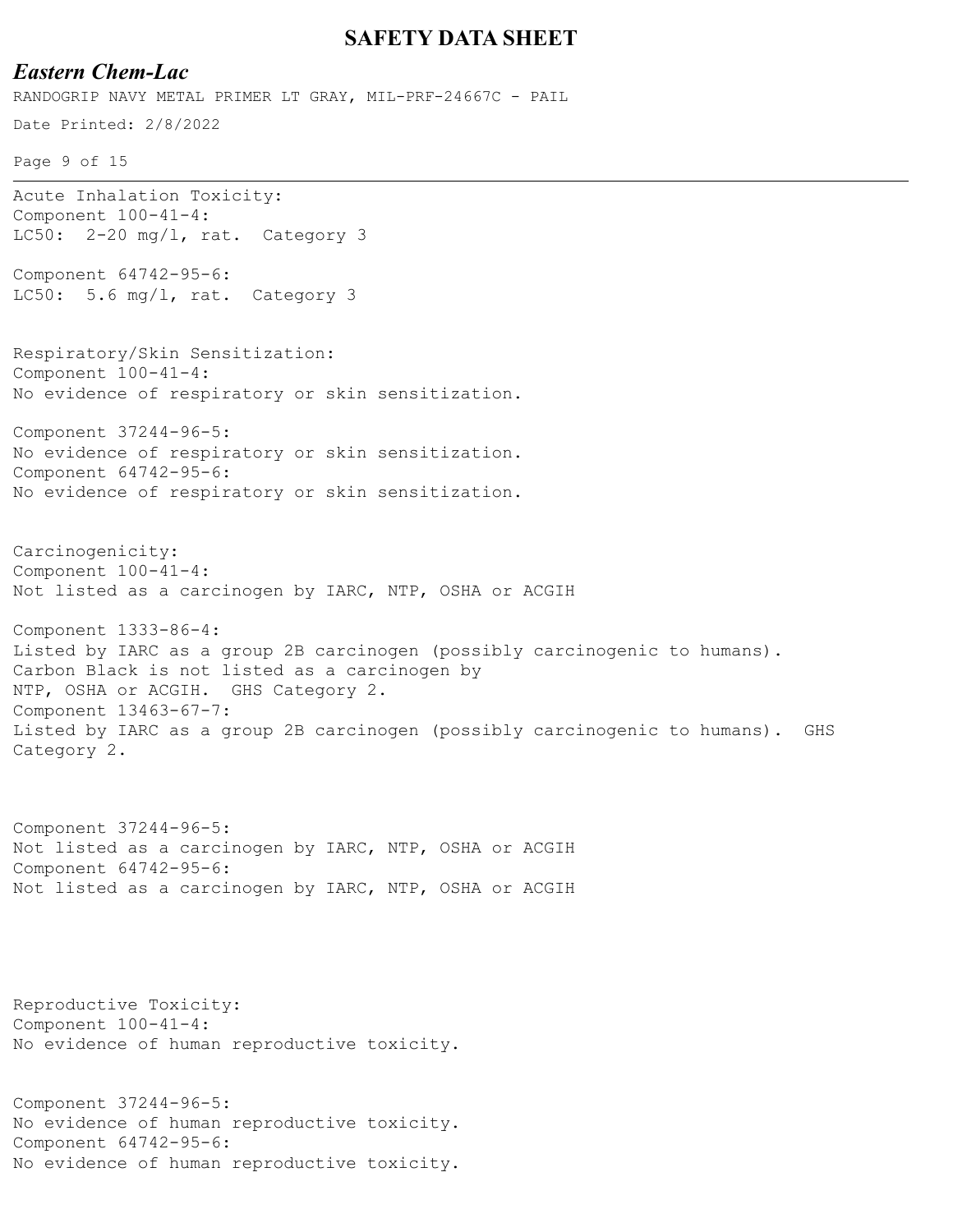### *Eastern Chem-Lac*

**SAFETY DATA SHEET** Date Printed: 2/8/2022 Page 9 of 15 RANDOGRIP NAVY METAL PRIMER LT GRAY, MIL-PRF-24667C - PAIL Acute Inhalation Toxicity: Component 100-41-4: LC50: 2-20 mg/l, rat. Category 3 Component 64742-95-6: LC50: 5.6 mg/l, rat. Category 3 Respiratory/Skin Sensitization: Component 100-41-4: No evidence of respiratory or skin sensitization. Component 37244-96-5: No evidence of respiratory or skin sensitization. Component 64742-95-6: No evidence of respiratory or skin sensitization. Carcinogenicity: Component 100-41-4: Not listed as a carcinogen by IARC, NTP, OSHA or ACGIH Component 1333-86-4: Listed by IARC as a group 2B carcinogen (possibly carcinogenic to humans). Carbon Black is not listed as a carcinogen by NTP, OSHA or ACGIH. GHS Category 2. Component 13463-67-7: Listed by IARC as a group 2B carcinogen (possibly carcinogenic to humans). GHS Category 2. Component 37244-96-5: Not listed as a carcinogen by IARC, NTP, OSHA or ACGIH Component 64742-95-6: Not listed as a carcinogen by IARC, NTP, OSHA or ACGIH

Reproductive Toxicity: Component 100-41-4: No evidence of human reproductive toxicity.

Component 37244-96-5: No evidence of human reproductive toxicity. Component 64742-95-6: No evidence of human reproductive toxicity.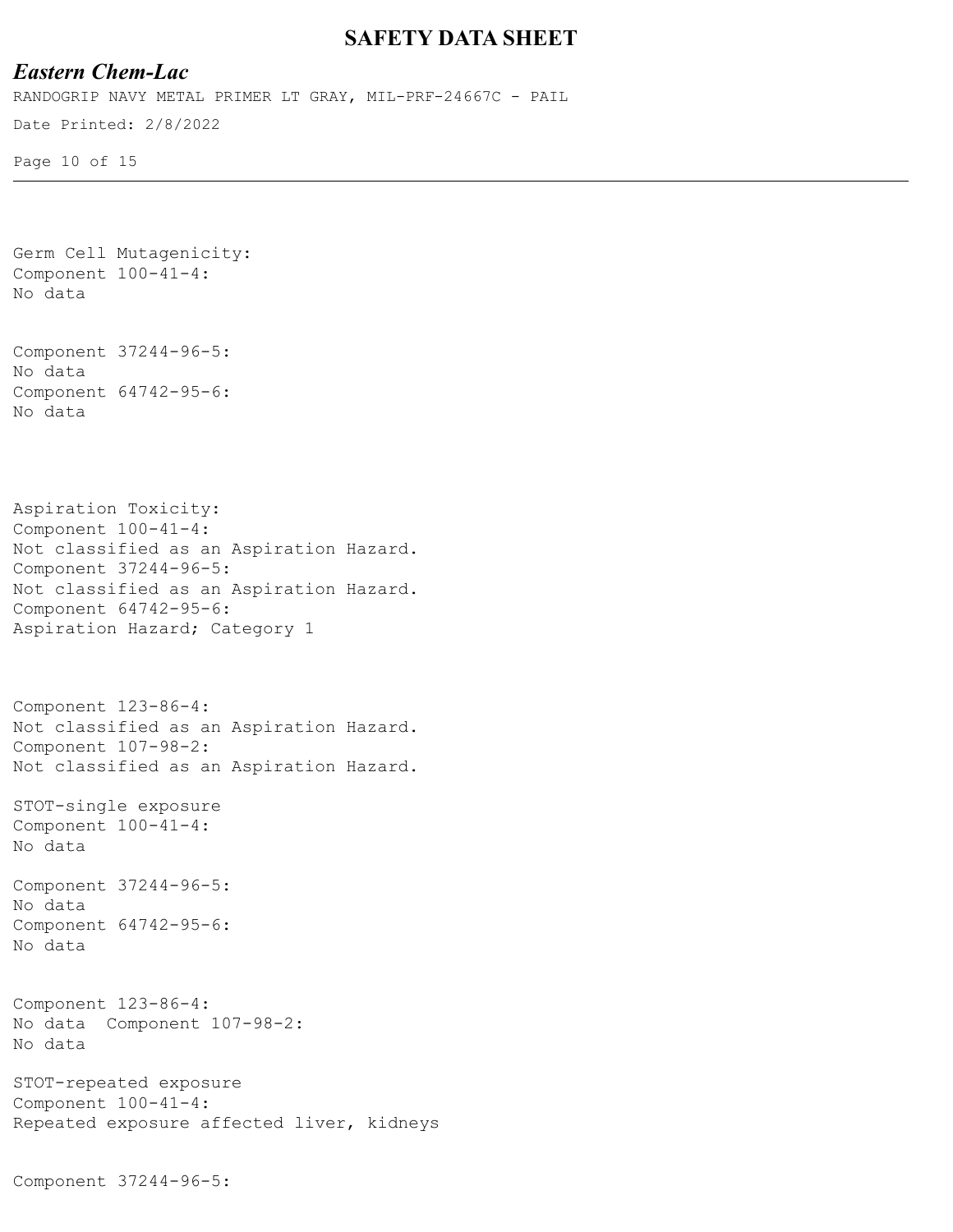### *Eastern Chem-Lac*

RANDOGRIP NAVY METAL PRIMER LT GRAY, MIL-PRF-24667C - PAIL

Date Printed: 2/8/2022

Page 10 of 15

Germ Cell Mutagenicity: Component 100-41-4: No data Component 37244-96-5: No data Component 64742-95-6: No data Aspiration Toxicity: Component 100-41-4: Not classified as an Aspiration Hazard. Component 37244-96-5: Not classified as an Aspiration Hazard. Component 64742-95-6: Aspiration Hazard; Category 1 Component 123-86-4: Not classified as an Aspiration Hazard. Component 107-98-2: Not classified as an Aspiration Hazard. STOT-single exposure Component 100-41-4: No data Component 37244-96-5: No data Component 64742-95-6: No data Component 123-86-4: No data Component 107-98-2: No data STOT-repeated exposure Component 100-41-4: Repeated exposure affected liver, kidneys Component 37244-96-5: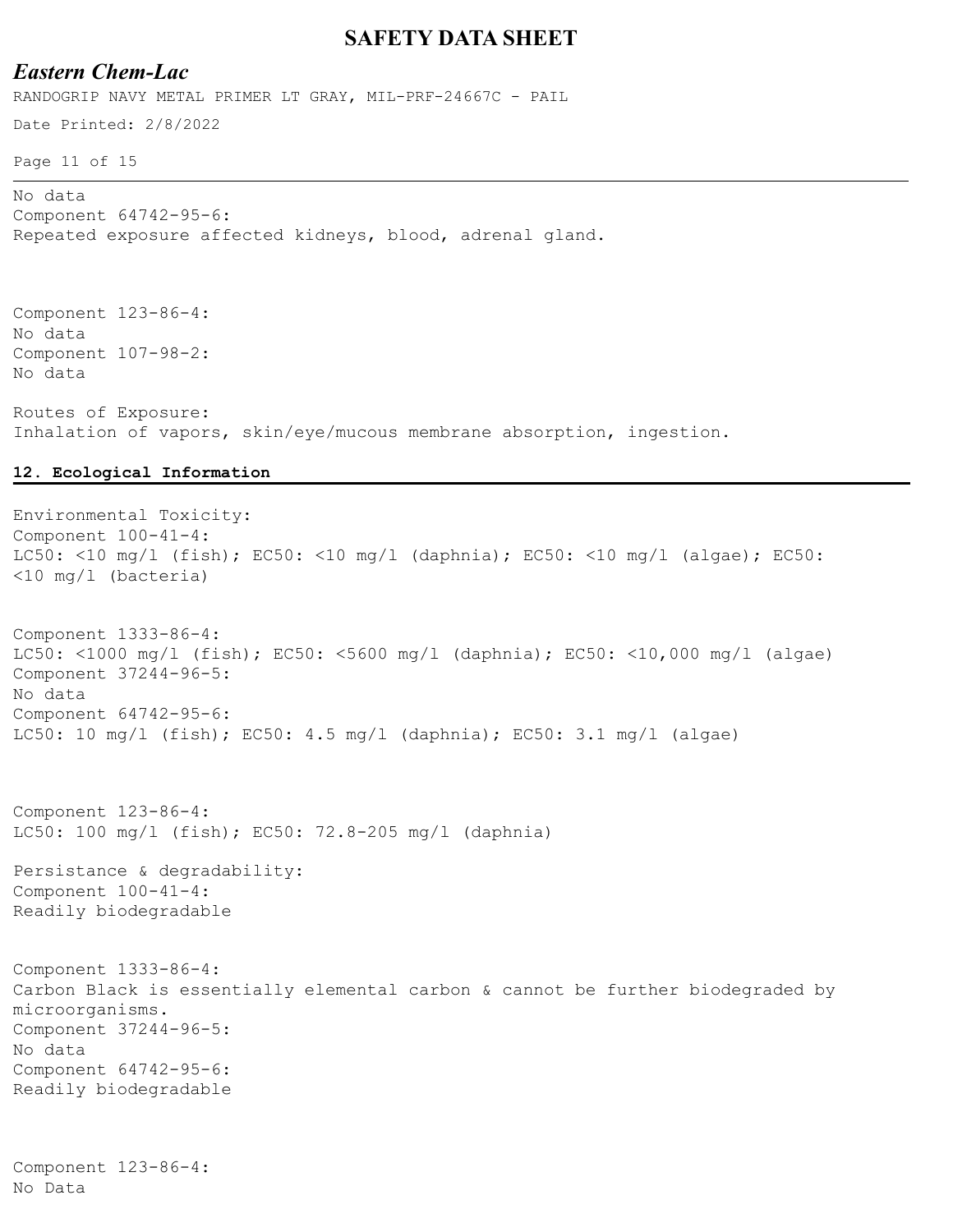### *Eastern Chem-Lac*

RANDOGRIP NAVY METAL PRIMER LT GRAY, MIL-PRF-24667C - PAIL

Date Printed: 2/8/2022

Page 11 of 15

No data Component 64742-95-6: Repeated exposure affected kidneys, blood, adrenal gland.

Component 123-86-4: No data Component 107-98-2: No data

Routes of Exposure: Inhalation of vapors, skin/eye/mucous membrane absorption, ingestion.

#### **12. Ecological Information**

Environmental Toxicity: Component 100-41-4: LC50: <10 mg/l (fish); EC50: <10 mg/l (daphnia); EC50: <10 mg/l (algae); EC50: <10 mg/l (bacteria) Component 1333-86-4: LC50: <1000 mg/l (fish); EC50: <5600 mg/l (daphnia); EC50: <10,000 mg/l (algae) Component 37244-96-5: No data Component 64742-95-6: LC50: 10 mg/l (fish); EC50: 4.5 mg/l (daphnia); EC50: 3.1 mg/l (algae) Component 123-86-4: LC50: 100 mg/l (fish); EC50: 72.8-205 mg/l (daphnia) Persistance & degradability: Component 100-41-4: Readily biodegradable Component 1333-86-4: Carbon Black is essentially elemental carbon & cannot be further biodegraded by microorganisms. Component 37244-96-5: No data Component 64742-95-6: Readily biodegradable

Component 123-86-4: No Data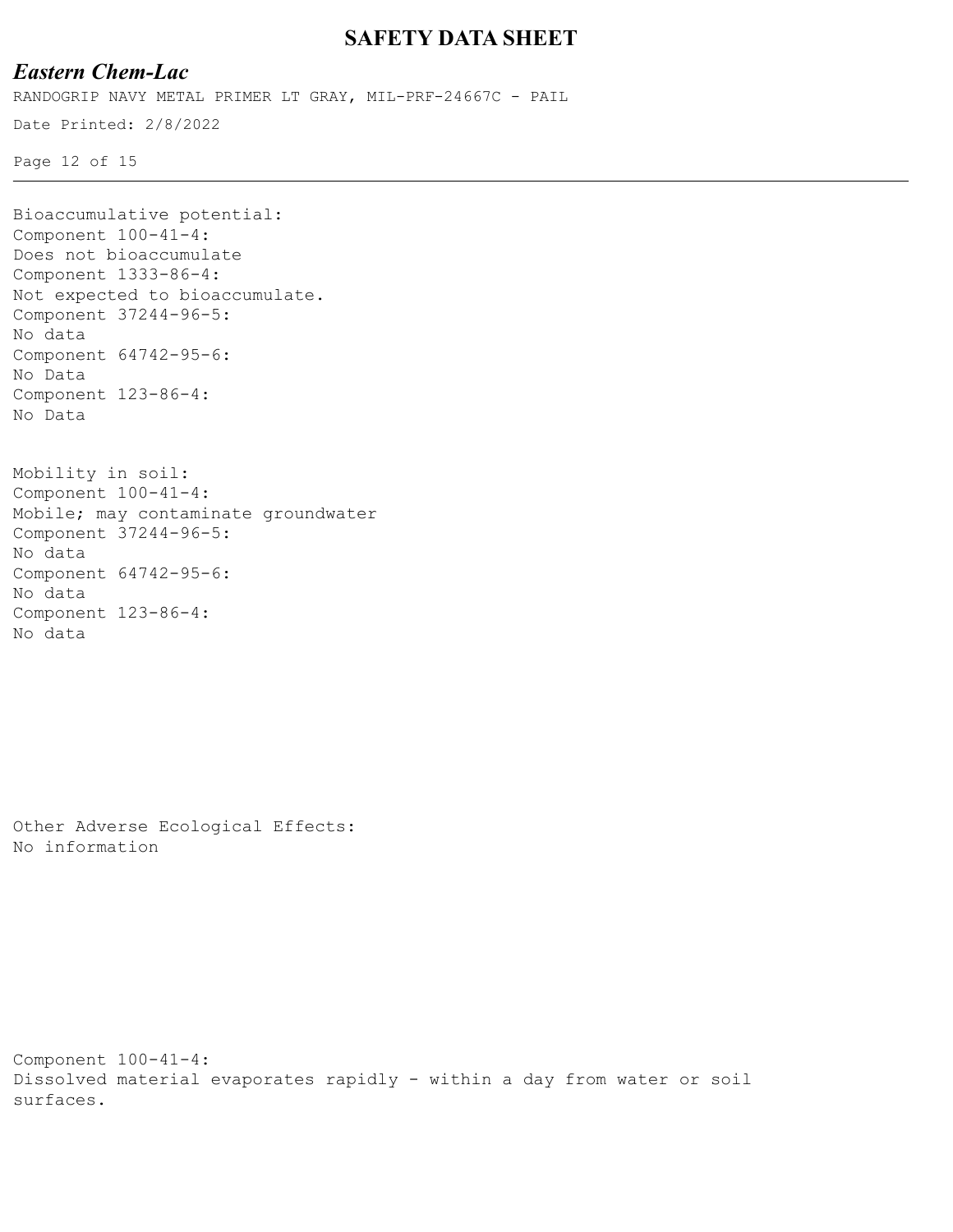# *Eastern Chem-Lac*

RANDOGRIP NAVY METAL PRIMER LT GRAY, MIL-PRF-24667C - PAIL

Date Printed: 2/8/2022

Page 12 of 15

```
Bioaccumulative potential:
Component 100-41-4:
Does not bioaccumulate
Component 1333-86-4:
Not expected to bioaccumulate.
Component 37244-96-5:
No data
Component 64742-95-6:
No Data
Component 123-86-4:
No Data
Mobility in soil:
Component 100-41-4:
```

```
Mobile; may contaminate groundwater
Component 37244-96-5:
No data
Component 64742-95-6:
No data
Component 123-86-4:
No data
```
Other Adverse Ecological Effects: No information

```
Component 100-41-4:
Dissolved material evaporates rapidly - within a day from water or soil 
surfaces.
```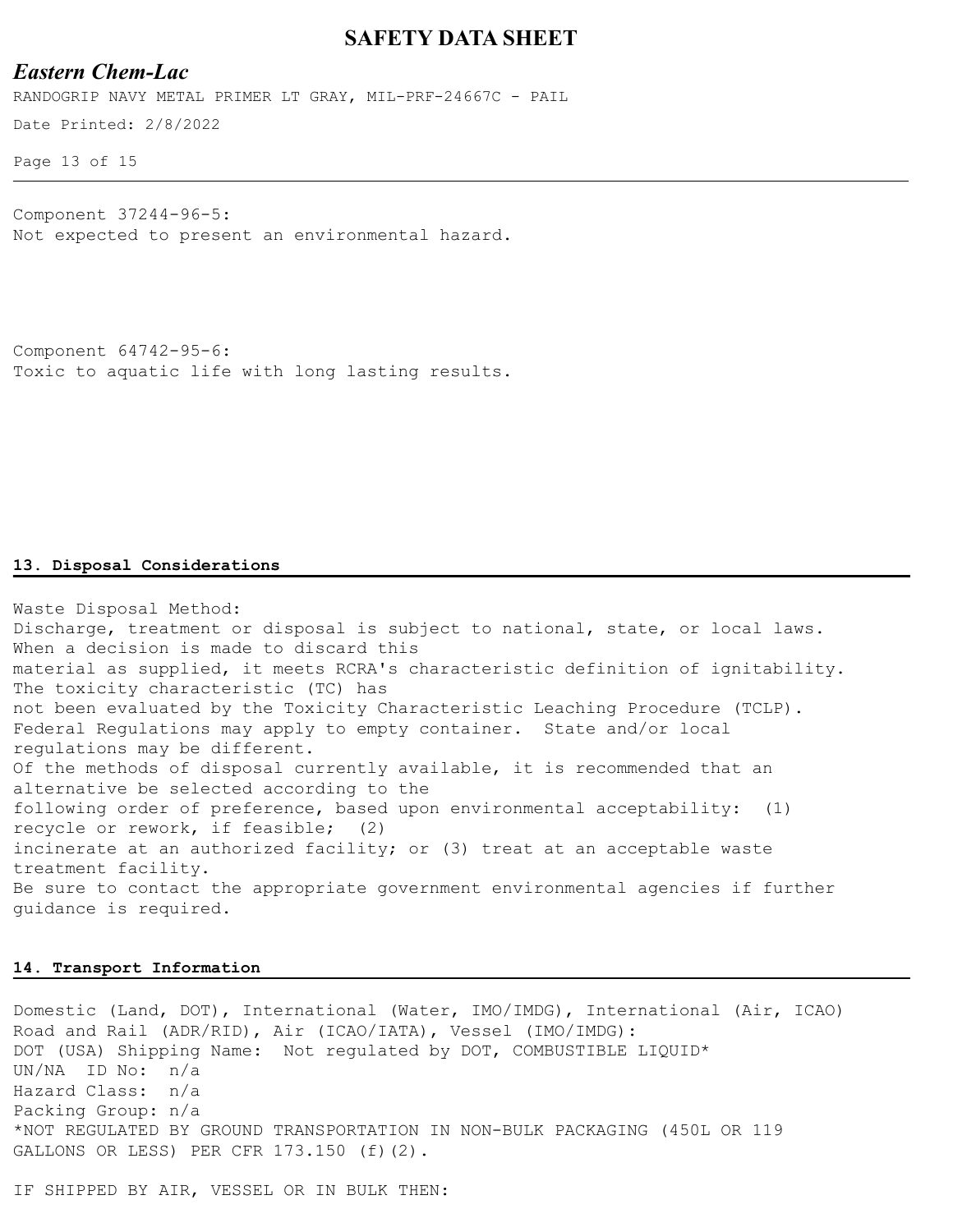#### *Eastern Chem-Lac*

Date Printed: 2/8/2022 RANDOGRIP NAVY METAL PRIMER LT GRAY, MIL-PRF-24667C - PAIL

Page 13 of 15

Component 37244-96-5: Not expected to present an environmental hazard.

```
Component 64742-95-6:
Toxic to aquatic life with long lasting results.
```
#### **13. Disposal Considerations**

Waste Disposal Method: Discharge, treatment or disposal is subject to national, state, or local laws. When a decision is made to discard this material as supplied, it meets RCRA's characteristic definition of ignitability. The toxicity characteristic (TC) has not been evaluated by the Toxicity Characteristic Leaching Procedure (TCLP). Federal Regulations may apply to empty container. State and/or local regulations may be different. Of the methods of disposal currently available, it is recommended that an alternative be selected according to the following order of preference, based upon environmental acceptability: (1) recycle or rework, if feasible; (2) incinerate at an authorized facility; or (3) treat at an acceptable waste treatment facility. Be sure to contact the appropriate government environmental agencies if further guidance is required.

#### **14. Transport Information**

Domestic (Land, DOT), International (Water, IMO/IMDG), International (Air, ICAO) Road and Rail (ADR/RID), Air (ICAO/IATA), Vessel (IMO/IMDG): DOT (USA) Shipping Name: Not regulated by DOT, COMBUSTIBLE LIQUID\* UN/NA ID No: n/a Hazard Class: n/a Packing Group: n/a \*NOT REGULATED BY GROUND TRANSPORTATION IN NON-BULK PACKAGING (450L OR 119 GALLONS OR LESS) PER CFR 173.150 (f)(2).

IF SHIPPED BY AIR, VESSEL OR IN BULK THEN: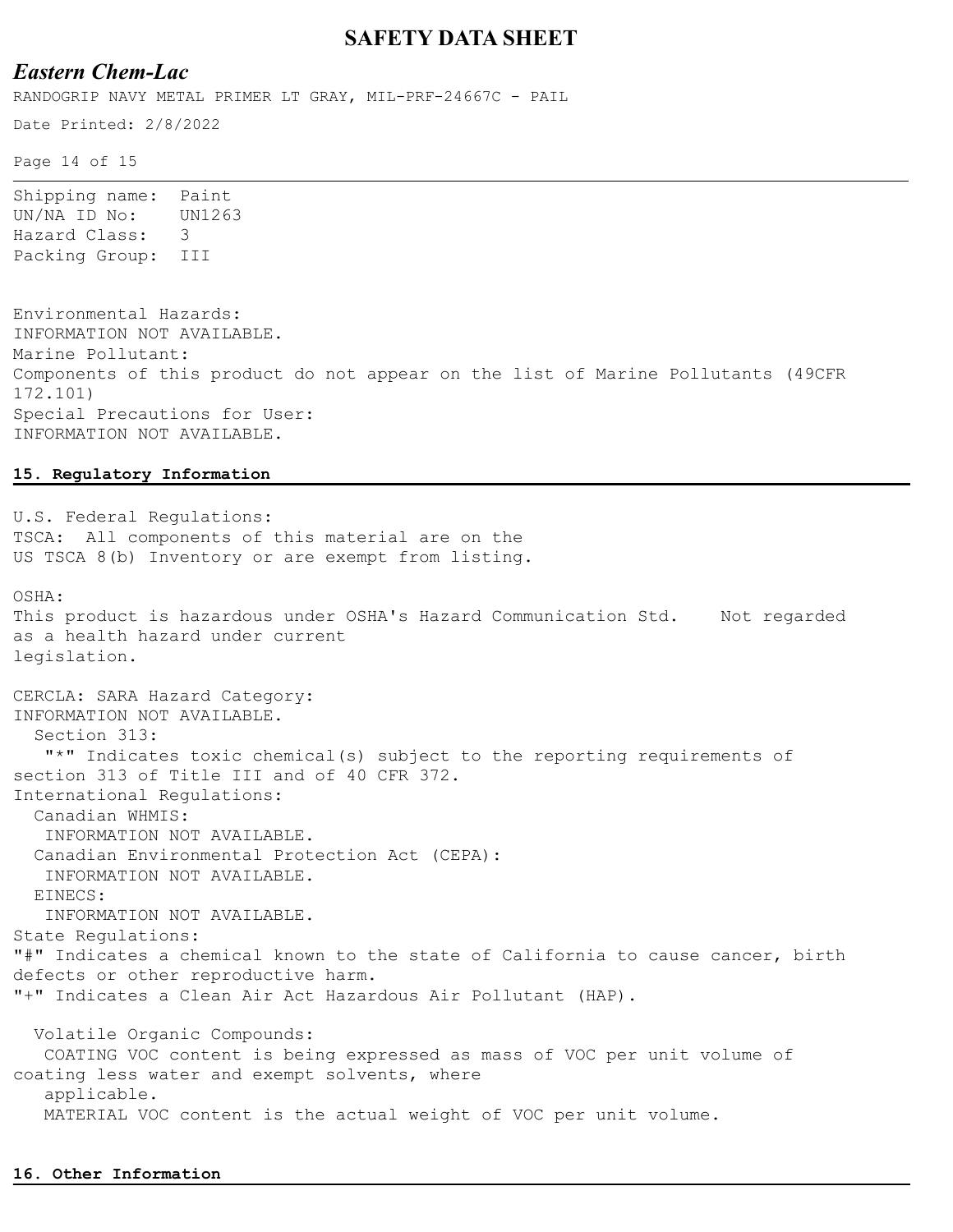### *Eastern Chem-Lac*

RANDOGRIP NAVY METAL PRIMER LT GRAY, MIL-PRF-24667C - PAIL

Date Printed: 2/8/2022

Page 14 of 15

Shipping name: Paint UN/NA ID No: UN1263 Hazard Class: 3 Packing Group: III

Environmental Hazards: INFORMATION NOT AVAILABLE. Marine Pollutant: Components of this product do not appear on the list of Marine Pollutants (49CFR 172.101) Special Precautions for User: INFORMATION NOT AVAILABLE.

#### **15. Regulatory Information**

U.S. Federal Regulations: TSCA: All components of this material are on the US TSCA 8(b) Inventory or are exempt from listing. OSHA: This product is hazardous under OSHA's Hazard Communication Std. Mot regarded as a health hazard under current legislation. CERCLA: SARA Hazard Category: INFORMATION NOT AVAILABLE. Section 313: "\*" Indicates toxic chemical(s) subject to the reporting requirements of section 313 of Title III and of 40 CFR 372. International Regulations: Canadian WHMIS: INFORMATION NOT AVAILABLE. Canadian Environmental Protection Act (CEPA): INFORMATION NOT AVAILABLE. EINECS: INFORMATION NOT AVAILABLE. State Regulations: "#" Indicates a chemical known to the state of California to cause cancer, birth defects or other reproductive harm. "+" Indicates a Clean Air Act Hazardous Air Pollutant (HAP). Volatile Organic Compounds: COATING VOC content is being expressed as mass of VOC per unit volume of coating less water and exempt solvents, where applicable. MATERIAL VOC content is the actual weight of VOC per unit volume.